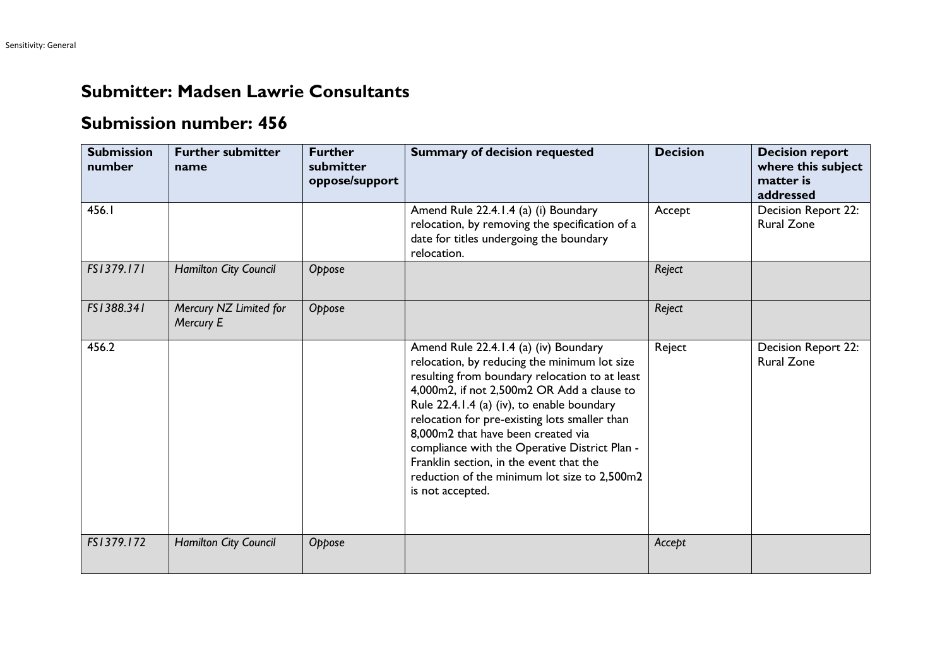## **Submitter: Madsen Lawrie Consultants**

## **Submission number: 456**

| <b>Submission</b><br>number | <b>Further submitter</b><br>name    | <b>Further</b><br>submitter<br>oppose/support | <b>Summary of decision requested</b>                                                                                                                                                                                                                                                                                                                                                                                                                                                       | <b>Decision</b> | <b>Decision report</b><br>where this subject<br>matter is<br>addressed |
|-----------------------------|-------------------------------------|-----------------------------------------------|--------------------------------------------------------------------------------------------------------------------------------------------------------------------------------------------------------------------------------------------------------------------------------------------------------------------------------------------------------------------------------------------------------------------------------------------------------------------------------------------|-----------------|------------------------------------------------------------------------|
| 456.I                       |                                     |                                               | Amend Rule 22.4.1.4 (a) (i) Boundary<br>relocation, by removing the specification of a<br>date for titles undergoing the boundary<br>relocation.                                                                                                                                                                                                                                                                                                                                           | Accept          | Decision Report 22:<br><b>Rural Zone</b>                               |
| FS1379.171                  | Hamilton City Council               | Oppose                                        |                                                                                                                                                                                                                                                                                                                                                                                                                                                                                            | Reject          |                                                                        |
| FS1388.341                  | Mercury NZ Limited for<br>Mercury E | Oppose                                        |                                                                                                                                                                                                                                                                                                                                                                                                                                                                                            | Reject          |                                                                        |
| 456.2                       |                                     |                                               | Amend Rule 22.4.1.4 (a) (iv) Boundary<br>relocation, by reducing the minimum lot size<br>resulting from boundary relocation to at least<br>4,000m2, if not 2,500m2 OR Add a clause to<br>Rule 22.4.1.4 (a) (iv), to enable boundary<br>relocation for pre-existing lots smaller than<br>8,000m2 that have been created via<br>compliance with the Operative District Plan -<br>Franklin section, in the event that the<br>reduction of the minimum lot size to 2,500m2<br>is not accepted. | Reject          | Decision Report 22:<br><b>Rural Zone</b>                               |
| FS1379.172                  | Hamilton City Council               | Oppose                                        |                                                                                                                                                                                                                                                                                                                                                                                                                                                                                            | Accept          |                                                                        |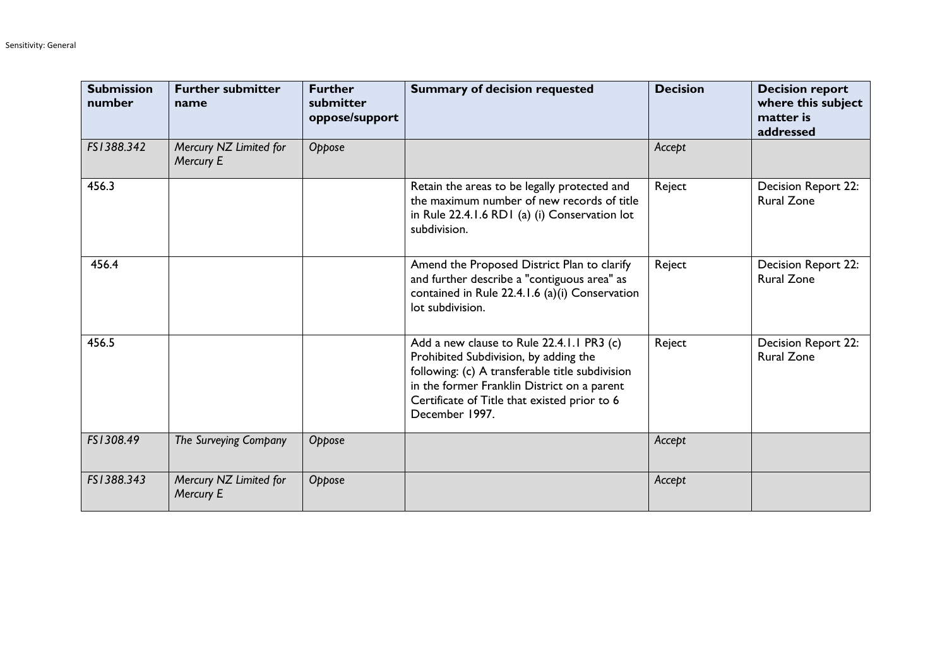| <b>Submission</b><br>number | <b>Further submitter</b><br>name    | <b>Further</b><br>submitter<br>oppose/support | <b>Summary of decision requested</b>                                                                                                                                                                                                                   | <b>Decision</b> | <b>Decision report</b><br>where this subject<br>matter is<br>addressed |
|-----------------------------|-------------------------------------|-----------------------------------------------|--------------------------------------------------------------------------------------------------------------------------------------------------------------------------------------------------------------------------------------------------------|-----------------|------------------------------------------------------------------------|
| FS1388.342                  | Mercury NZ Limited for<br>Mercury E | Oppose                                        |                                                                                                                                                                                                                                                        | Accept          |                                                                        |
| 456.3                       |                                     |                                               | Retain the areas to be legally protected and<br>the maximum number of new records of title<br>in Rule 22.4.1.6 RD1 (a) (i) Conservation lot<br>subdivision.                                                                                            | Reject          | <b>Decision Report 22:</b><br><b>Rural Zone</b>                        |
| 456.4                       |                                     |                                               | Amend the Proposed District Plan to clarify<br>and further describe a "contiguous area" as<br>contained in Rule 22.4.1.6 (a)(i) Conservation<br>lot subdivision.                                                                                       | Reject          | Decision Report 22:<br><b>Rural Zone</b>                               |
| 456.5                       |                                     |                                               | Add a new clause to Rule 22.4.1.1 PR3 (c)<br>Prohibited Subdivision, by adding the<br>following: (c) A transferable title subdivision<br>in the former Franklin District on a parent<br>Certificate of Title that existed prior to 6<br>December 1997. | Reject          | <b>Decision Report 22:</b><br><b>Rural Zone</b>                        |
| FS1308.49                   | The Surveying Company               | Oppose                                        |                                                                                                                                                                                                                                                        | Accept          |                                                                        |
| FS1388.343                  | Mercury NZ Limited for<br>Mercury E | Oppose                                        |                                                                                                                                                                                                                                                        | Accept          |                                                                        |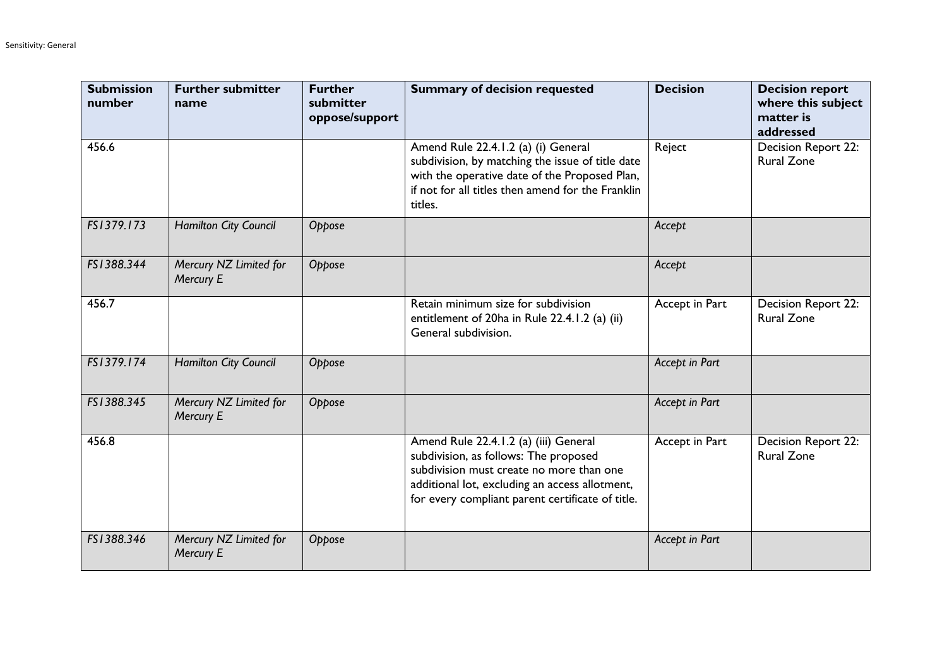| <b>Submission</b><br>number | <b>Further submitter</b><br>name    | <b>Further</b><br>submitter<br>oppose/support | <b>Summary of decision requested</b>                                                                                                                                                                                             | <b>Decision</b> | <b>Decision report</b><br>where this subject<br>matter is<br>addressed |
|-----------------------------|-------------------------------------|-----------------------------------------------|----------------------------------------------------------------------------------------------------------------------------------------------------------------------------------------------------------------------------------|-----------------|------------------------------------------------------------------------|
| 456.6                       |                                     |                                               | Amend Rule 22.4.1.2 (a) (i) General<br>subdivision, by matching the issue of title date<br>with the operative date of the Proposed Plan,<br>if not for all titles then amend for the Franklin<br>titles.                         | Reject          | Decision Report 22:<br><b>Rural Zone</b>                               |
| FS1379.173                  | Hamilton City Council               | Oppose                                        |                                                                                                                                                                                                                                  | Accept          |                                                                        |
| FS1388.344                  | Mercury NZ Limited for<br>Mercury E | Oppose                                        |                                                                                                                                                                                                                                  | Accept          |                                                                        |
| 456.7                       |                                     |                                               | Retain minimum size for subdivision<br>entitlement of 20ha in Rule 22.4.1.2 (a) (ii)<br>General subdivision.                                                                                                                     | Accept in Part  | Decision Report 22:<br><b>Rural Zone</b>                               |
| FS1379.174                  | Hamilton City Council               | Oppose                                        |                                                                                                                                                                                                                                  | Accept in Part  |                                                                        |
| FS1388.345                  | Mercury NZ Limited for<br>Mercury E | Oppose                                        |                                                                                                                                                                                                                                  | Accept in Part  |                                                                        |
| 456.8                       |                                     |                                               | Amend Rule 22.4.1.2 (a) (iii) General<br>subdivision, as follows: The proposed<br>subdivision must create no more than one<br>additional lot, excluding an access allotment,<br>for every compliant parent certificate of title. | Accept in Part  | Decision Report 22:<br><b>Rural Zone</b>                               |
| FS1388.346                  | Mercury NZ Limited for<br>Mercury E | Oppose                                        |                                                                                                                                                                                                                                  | Accept in Part  |                                                                        |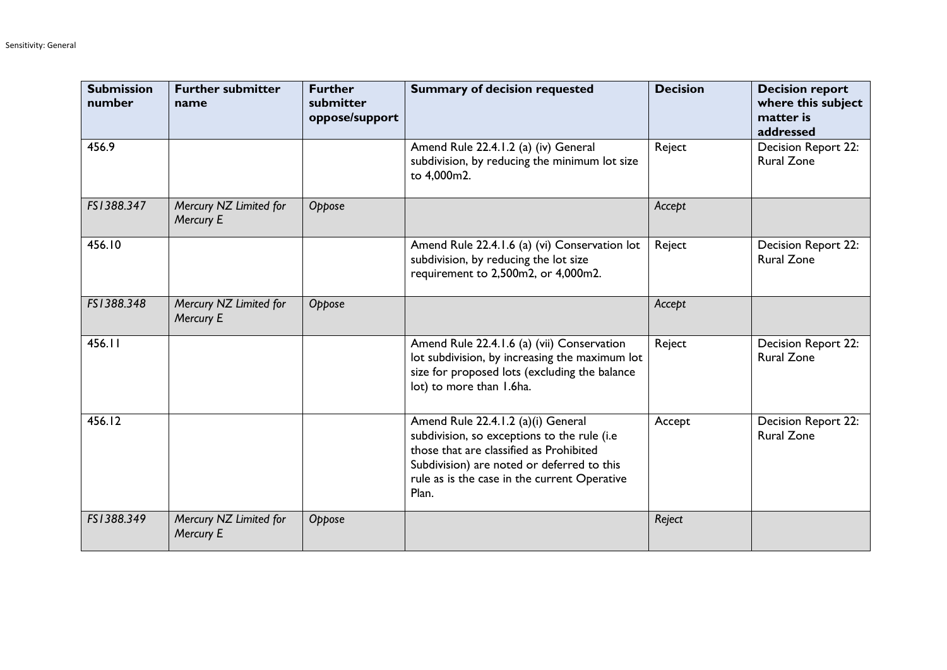| <b>Submission</b><br>number | <b>Further submitter</b><br>name    | <b>Further</b><br>submitter<br>oppose/support | <b>Summary of decision requested</b>                                                                                                                                                                                                | <b>Decision</b> | <b>Decision report</b><br>where this subject<br>matter is<br>addressed |
|-----------------------------|-------------------------------------|-----------------------------------------------|-------------------------------------------------------------------------------------------------------------------------------------------------------------------------------------------------------------------------------------|-----------------|------------------------------------------------------------------------|
| 456.9                       |                                     |                                               | Amend Rule 22.4.1.2 (a) (iv) General<br>subdivision, by reducing the minimum lot size<br>to 4,000m2.                                                                                                                                | Reject          | <b>Decision Report 22:</b><br><b>Rural Zone</b>                        |
| FS1388.347                  | Mercury NZ Limited for<br>Mercury E | Oppose                                        |                                                                                                                                                                                                                                     | Accept          |                                                                        |
| 456.10                      |                                     |                                               | Amend Rule 22.4.1.6 (a) (vi) Conservation lot<br>subdivision, by reducing the lot size<br>requirement to 2,500m2, or 4,000m2.                                                                                                       | Reject          | Decision Report 22:<br><b>Rural Zone</b>                               |
| FS1388.348                  | Mercury NZ Limited for<br>Mercury E | Oppose                                        |                                                                                                                                                                                                                                     | Accept          |                                                                        |
| 456.11                      |                                     |                                               | Amend Rule 22.4.1.6 (a) (vii) Conservation<br>lot subdivision, by increasing the maximum lot<br>size for proposed lots (excluding the balance<br>lot) to more than 1.6ha.                                                           | Reject          | Decision Report 22:<br><b>Rural Zone</b>                               |
| 456.12                      |                                     |                                               | Amend Rule 22.4.1.2 (a)(i) General<br>subdivision, so exceptions to the rule (i.e<br>those that are classified as Prohibited<br>Subdivision) are noted or deferred to this<br>rule as is the case in the current Operative<br>Plan. | Accept          | <b>Decision Report 22:</b><br><b>Rural Zone</b>                        |
| FS1388.349                  | Mercury NZ Limited for<br>Mercury E | Oppose                                        |                                                                                                                                                                                                                                     | Reject          |                                                                        |